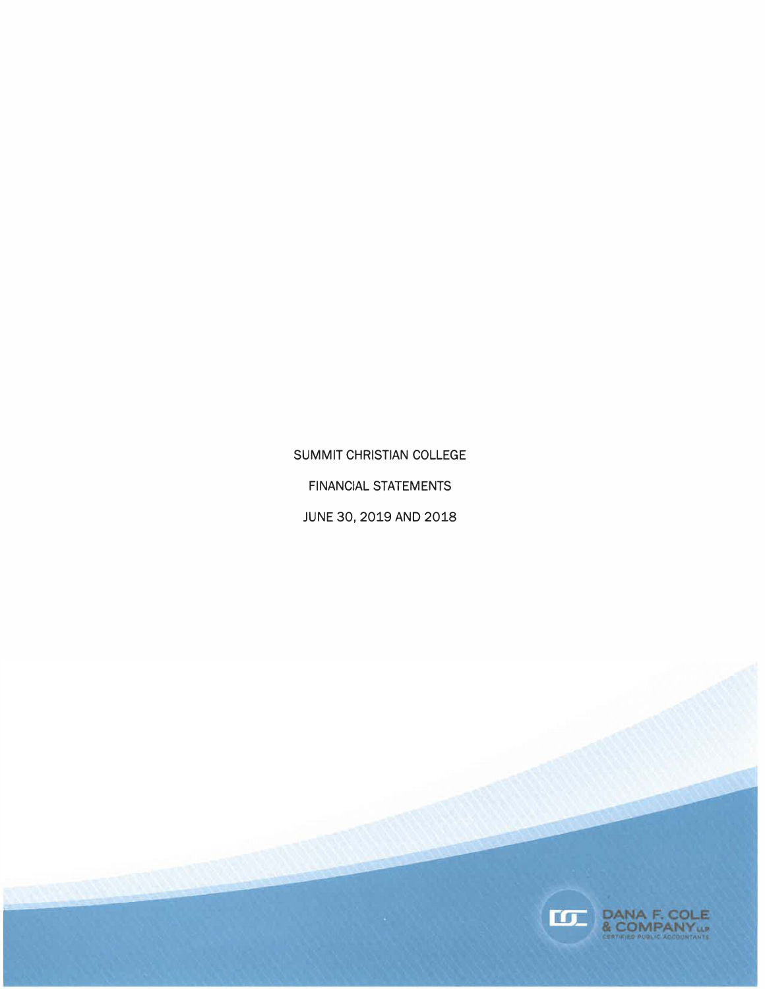SUMMIT CHRISTIAN COLLEGE FINANCIAL STATEMENTS JUNE 30, 2019 AND 2018

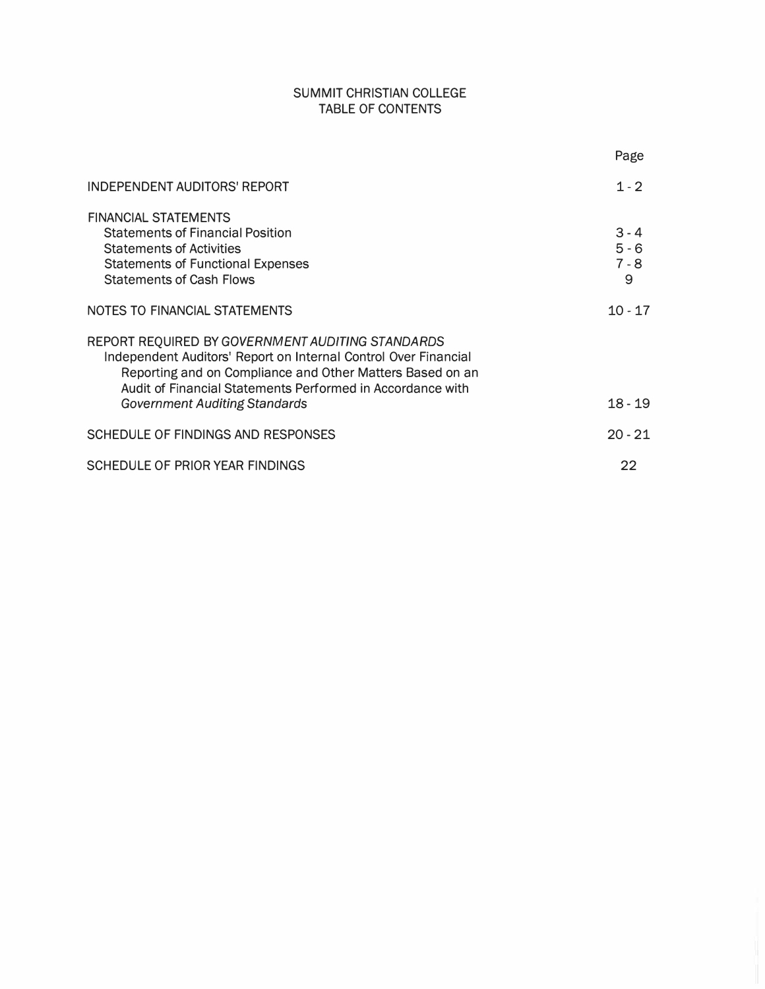# SUMMIT CHRISTIAN COLLEGE TABLE OF CONTENTS

|                                                                                                                                                                                                                                                                                        | Page                               |
|----------------------------------------------------------------------------------------------------------------------------------------------------------------------------------------------------------------------------------------------------------------------------------------|------------------------------------|
| <b>INDEPENDENT AUDITORS' REPORT</b>                                                                                                                                                                                                                                                    | $1 - 2$                            |
| <b>FINANCIAL STATEMENTS</b><br><b>Statements of Financial Position</b><br><b>Statements of Activities</b><br><b>Statements of Functional Expenses</b><br><b>Statements of Cash Flows</b>                                                                                               | $3 - 4$<br>$5 - 6$<br>$7 - 8$<br>9 |
| NOTES TO FINANCIAL STATEMENTS                                                                                                                                                                                                                                                          | $10 - 17$                          |
| REPORT REQUIRED BY GOVERNMENT AUDITING STANDARDS<br>Independent Auditors' Report on Internal Control Over Financial<br>Reporting and on Compliance and Other Matters Based on an<br>Audit of Financial Statements Performed in Accordance with<br><b>Government Auditing Standards</b> | $18 - 19$                          |
| SCHEDULE OF FINDINGS AND RESPONSES                                                                                                                                                                                                                                                     | $20 - 21$                          |
| SCHEDULE OF PRIOR YEAR FINDINGS                                                                                                                                                                                                                                                        | 22                                 |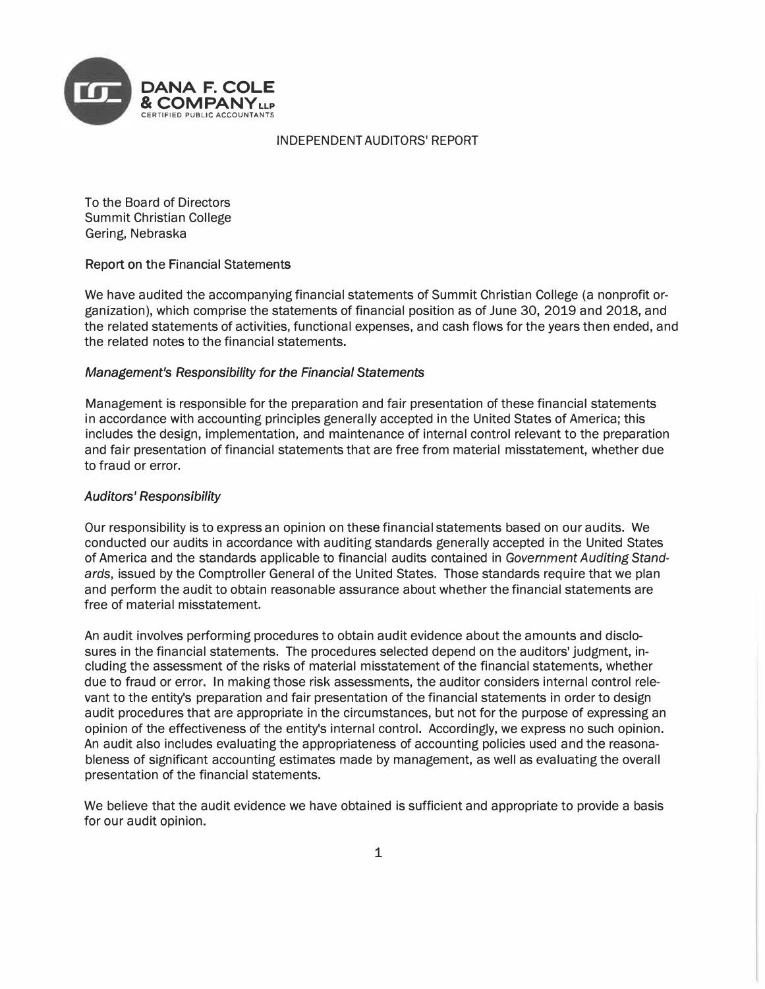

# INDEPENDENT AUDITORS' REPORT

To the Board of Directors Summit Christian College Gering, Nebraska

## Report on the Financial Statements

We have audited the accompanying financial statements of Summit Christian College (a nonprofit organization), which comprise the statements of financial position as of June 30, 2019 and 2018, and the related statements of activities, functional expenses, and cash flows for the years then ended, and the related notes to the financial statements.

## Management's Responsibility for the Financial Statements

Management is responsible for the preparation and fair presentation of these financial statements in accordance with accounting principles generally accepted in the United States of America; this includes the design, implementation, and maintenance of internal control relevant to the preparation and fair presentation of financial statements that are free from material misstatement, whether due to fraud or error.

# Auditors' Responsibility

Our responsibility is to express an opinion on these financial statements based on our audits. We conducted our audits in accordance with auditing standards generally accepted in the United States of America and the standards applicable to financial audits contained in Government Auditing Standards, issued by the Comptroller General of the United States. Those standards require that we plan and perform the audit to obtain reasonable assurance about whether the financial statements are free of material misstatement.

An audit involves performing procedures to obtain audit evidence about the amounts and disclosures in the financial statements. The procedures selected depend on the auditors' judgment, including the assessment of the risks of material misstatement of the financial statements, whether due to fraud or error. In making those risk assessments, the auditor considers internal control relevant to the entity's preparation and fair presentation of the financial statements in order to design audit procedures that are appropriate in the circumstances, but not for the purpose of expressing an opinion of the effectiveness of the entity's internal control. Accordingly, we express no such opinion. An audit also includes evaluating the appropriateness of accounting policies used and the reasonableness of significant accounting estimates made by management, as well as evaluating the overall presentation of the financial statements.

We believe that the audit evidence we have obtained is sufficient and appropriate to provide a basis for our audit opinion.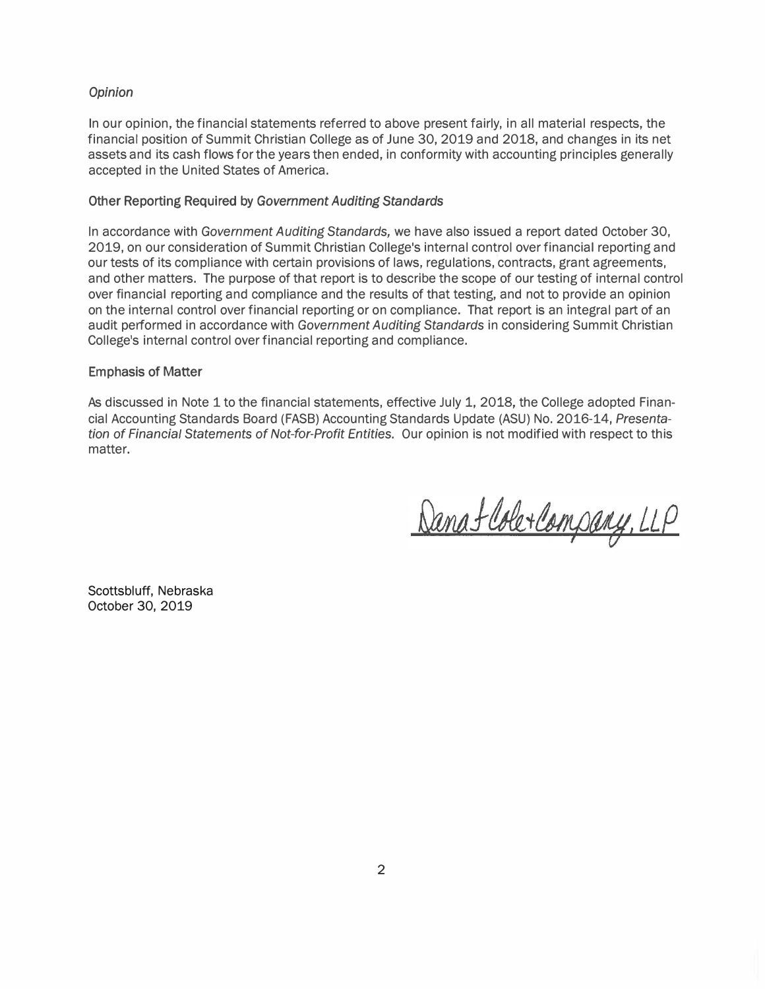## Opinion

In our opinion, the financial statements referred to above present fairly, in all material respects, the financial position of Summit Christian College as of June 30, 2019 and 2018, and changes in its net assets and its cash flows for the years then ended, in conformity with accounting principles generally accepted in the United States of America.

## Other Reporting Required by Government Auditing Standards

In accordance with Government Auditing Standards, we have also issued a report dated October 30, 2019, on our consideration of Summit Christian College's internal control over financial reporting and our tests of its compliance with certain provisions of laws, regulations, contracts, grant agreements, and other matters. The purpose of that report is to describe the scope of our testing of internal control over financial reporting and compliance and the results of that testing, and not to provide an opinion on the internal control over financial reporting or on compliance. That report is an integral part of an audit performed in accordance with Government Auditing Standards in considering Summit Christian College's internal control over financial reporting and compliance.

## Emphasis of Matter

As discussed in Note 1 to the financial statements, effective July 1, 2018, the College adopted Financial Accounting Standards Board (FASB) Accounting Standards Update (ASU) No. 2016-14, Presentation of Financial Statements of Not-for-Profit Entities. Our opinion is not modified with respect to this matter.

Danafloberlampany, LLP

Scottsbluff, Nebraska October 30, 2019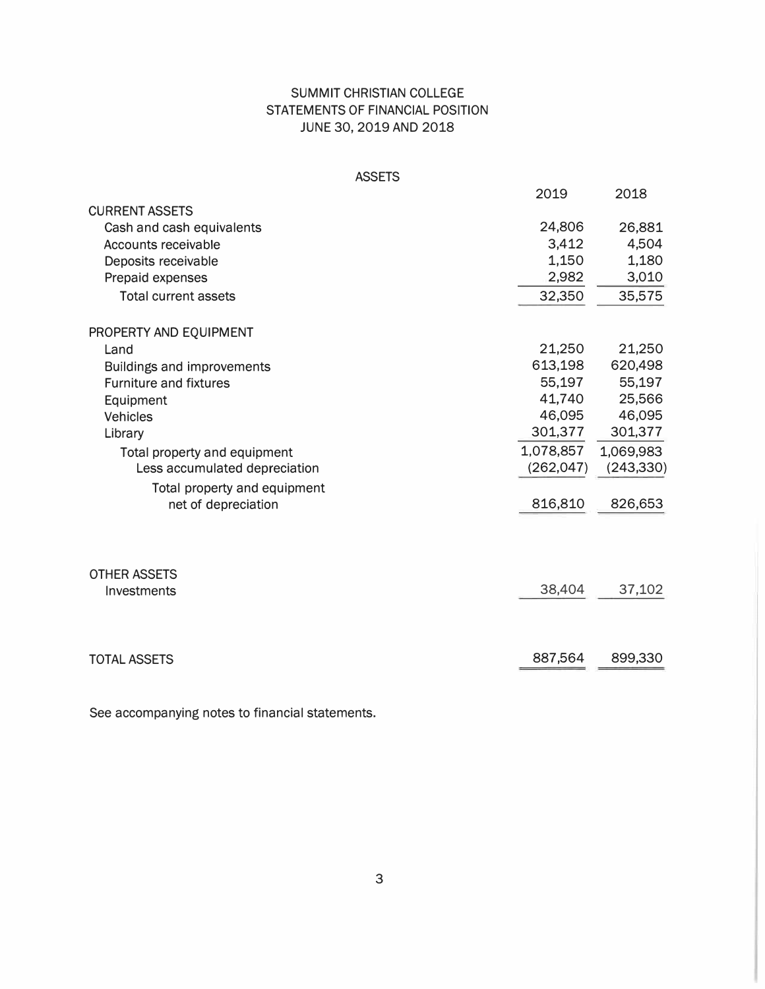# SUMMIT CHRISTIAN COLLEGE STATEMENTS OF FINANCIAL POSITION JUNE 30, 2019 AND 2018

|                                    | <b>ASSETS</b> |            |            |
|------------------------------------|---------------|------------|------------|
|                                    |               | 2019       | 2018       |
| <b>CURRENT ASSETS</b>              |               |            |            |
| Cash and cash equivalents          |               | 24,806     | 26,881     |
| <b>Accounts receivable</b>         |               | 3,412      | 4,504      |
| Deposits receivable                |               | 1,150      | 1,180      |
| Prepaid expenses                   |               | 2,982      | 3,010      |
| <b>Total current assets</b>        |               | 32,350     | 35,575     |
| PROPERTY AND EQUIPMENT             |               |            |            |
| Land                               |               | 21,250     | 21,250     |
| Buildings and improvements         |               | 613,198    | 620,498    |
| <b>Furniture and fixtures</b>      |               | 55,197     | 55,197     |
| Equipment                          |               | 41,740     | 25,566     |
| <b>Vehicles</b>                    |               | 46,095     | 46,095     |
| Library                            |               | 301,377    | 301,377    |
| Total property and equipment       |               | 1,078,857  | 1,069,983  |
| Less accumulated depreciation      |               | (262, 047) | (243, 330) |
| Total property and equipment       |               |            |            |
| net of depreciation                |               | 816,810    | 826,653    |
|                                    |               |            |            |
| <b>OTHER ASSETS</b><br>Investments |               | 38,404     | 37,102     |
|                                    |               |            |            |
| <b>TOTAL ASSETS</b>                |               | 887,564    | 899,330    |

See accompanying notes to financial statements.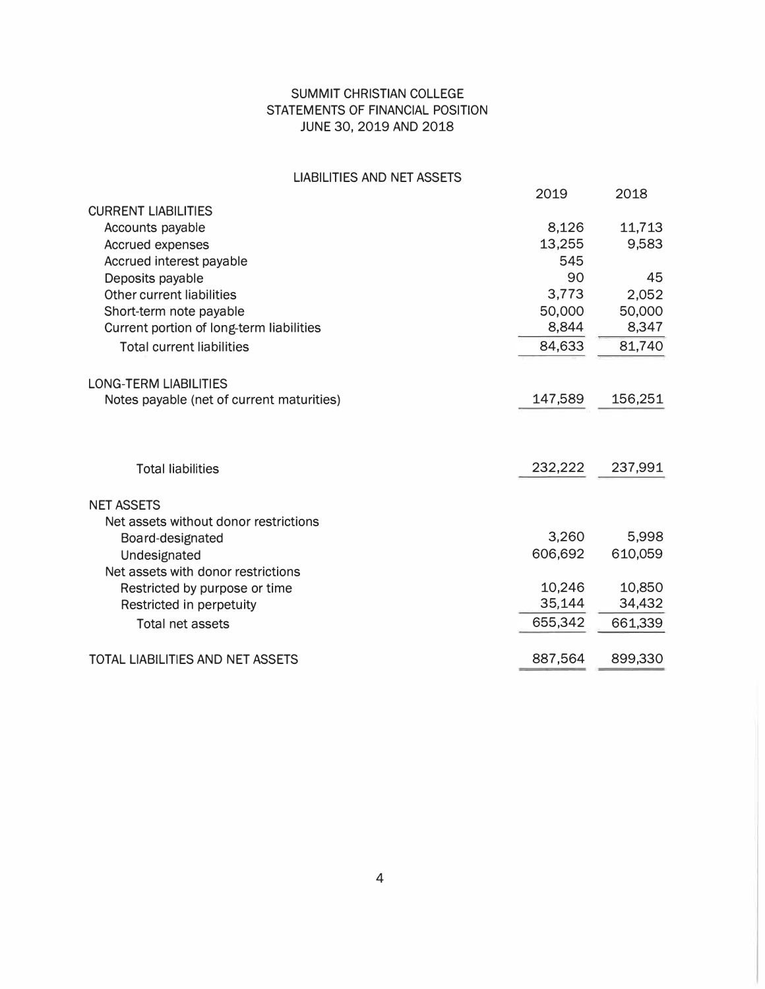# SUMMIT CHRISTIAN COLLEGE STATEMENTS OF FINANCIAL POSITION JUNE 30, 2019 AND 2018

# LIABILITIES AND NET ASSETS

|                                           | 2019    | 2018    |
|-------------------------------------------|---------|---------|
| <b>CURRENT LIABILITIES</b>                |         |         |
| Accounts payable                          | 8,126   | 11,713  |
| <b>Accrued expenses</b>                   | 13,255  | 9,583   |
| Accrued interest payable                  | 545     |         |
| Deposits payable                          | 90      | 45      |
| Other current liabilities                 | 3,773   | 2.052   |
| Short-term note payable                   | 50,000  | 50,000  |
| Current portion of long-term liabilities  | 8,844   | 8,347   |
| <b>Total current liabilities</b>          | 84,633  | 81,740  |
| <b>LONG-TERM LIABILITIES</b>              |         |         |
| Notes payable (net of current maturities) | 147,589 | 156,251 |
| <b>Total liabilities</b>                  | 232,222 | 237,991 |
| <b>NET ASSETS</b>                         |         |         |
| Net assets without donor restrictions     |         |         |
| Board-designated                          | 3,260   | 5,998   |
| Undesignated                              | 606,692 | 610,059 |
| Net assets with donor restrictions        |         |         |
| Restricted by purpose or time             | 10,246  | 10,850  |
| Restricted in perpetuity                  | 35,144  | 34,432  |
| Total net assets                          | 655,342 | 661,339 |
| TOTAL LIABILITIES AND NET ASSETS          | 887,564 | 899,330 |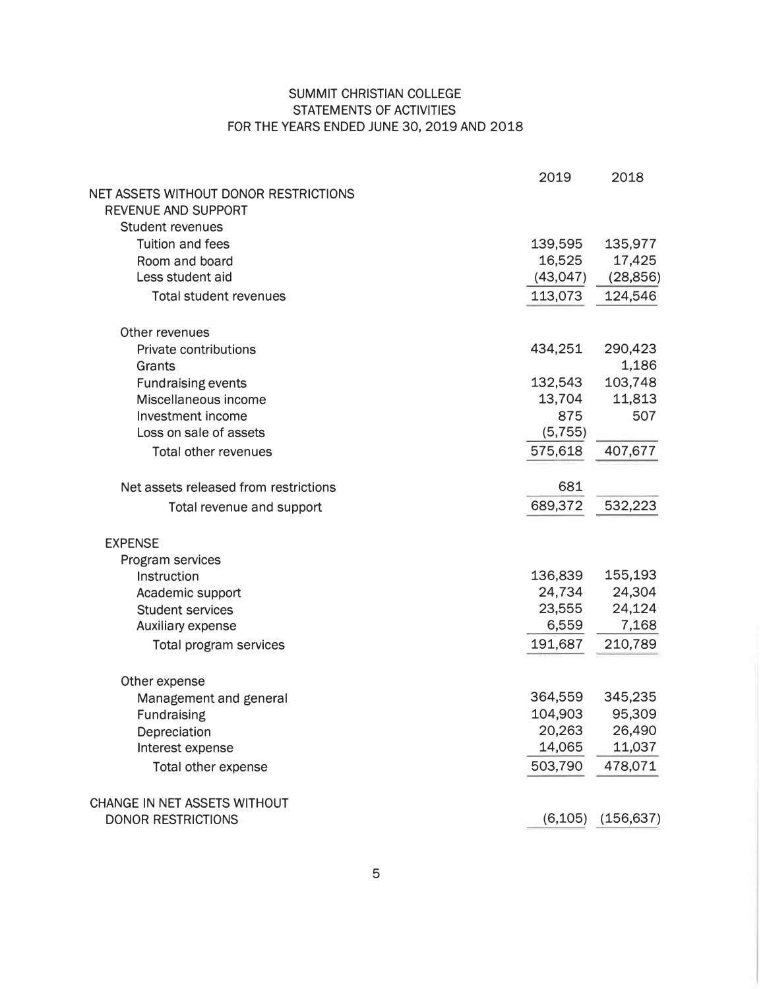# SUMMIT CHRISTIAN COLLEGE STATEMENTS OF ACTIVITIES FOR THE YEARS ENDED JUNE 30, 2019 AND 2018

|                                       | 2019      | 2018       |
|---------------------------------------|-----------|------------|
| NET ASSETS WITHOUT DONOR RESTRICTIONS |           |            |
| REVENUE AND SUPPORT                   |           |            |
| <b>Student revenues</b>               |           |            |
| <b>Tuition and fees</b>               | 139,595   | 135,977    |
| Room and board                        | 16,525    | 17,425     |
| Less student aid                      | (43, 047) | (28, 856)  |
| <b>Total student revenues</b>         | 113,073   | 124,546    |
| Other revenues                        |           |            |
| <b>Private contributions</b>          | 434,251   | 290,423    |
| Grants                                |           | 1,186      |
| <b>Fundraising events</b>             | 132,543   | 103,748    |
| Miscellaneous income                  | 13,704    | 11,813     |
| Investment income                     | 875       | 507        |
| Loss on sale of assets                | (5, 755)  |            |
| <b>Total other revenues</b>           | 575,618   | 407,677    |
| Net assets released from restrictions | 681       |            |
| Total revenue and support             | 689,372   | 532,223    |
| <b>EXPENSE</b>                        |           |            |
| Program services                      |           |            |
| Instruction                           | 136,839   | 155,193    |
| Academic support                      | 24,734    | 24,304     |
| <b>Student services</b>               | 23,555    | 24,124     |
| Auxiliary expense                     | 6,559     | 7,168      |
| <b>Total program services</b>         | 191,687   | 210,789    |
| Other expense                         |           |            |
| Management and general                | 364,559   | 345,235    |
| Fundraising                           | 104,903   | 95,309     |
| Depreciation                          | 20,263    | 26,490     |
| Interest expense                      | 14,065    | 11,037     |
| Total other expense                   | 503,790   | 478,071    |
| CHANGE IN NET ASSETS WITHOUT          |           |            |
| <b>DONOR RESTRICTIONS</b>             | (6, 105)  | (156, 637) |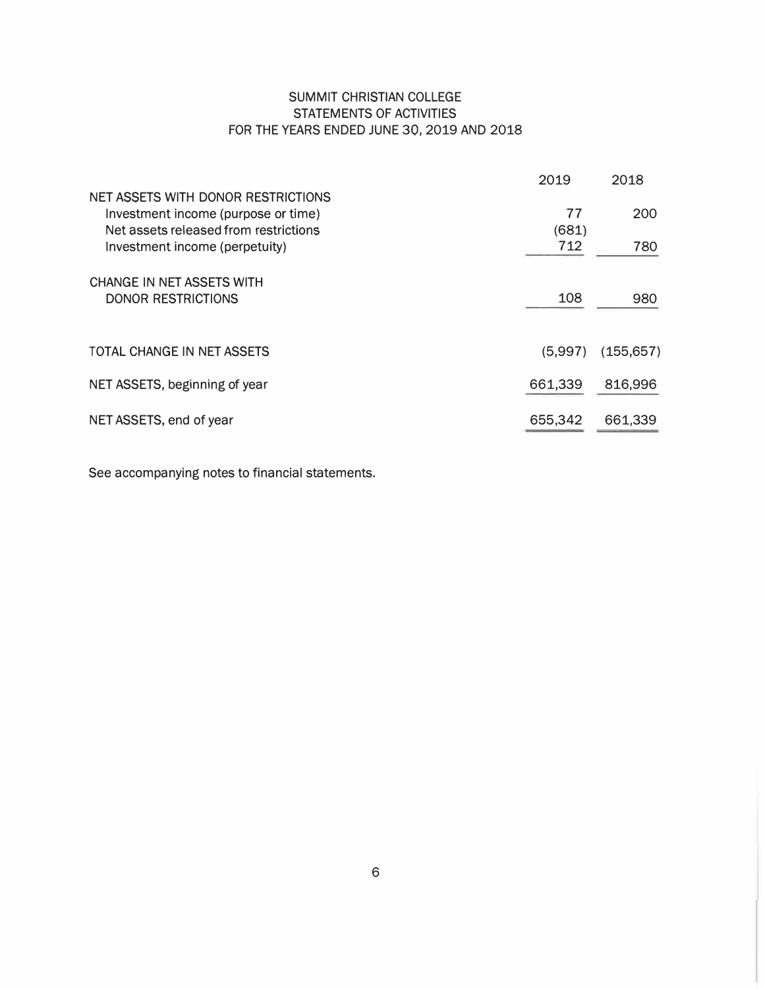# SUMMIT CHRISTIAN COLLEGE STATEMENTS OF ACTIVITIES FOR THE YEARS ENDED JUNE 30, 2019 AND 2018

|                                                                                                                    | 2019        | 2018       |
|--------------------------------------------------------------------------------------------------------------------|-------------|------------|
| NET ASSETS WITH DONOR RESTRICTIONS<br>Investment income (purpose or time)<br>Net assets released from restrictions | 77<br>(681) | 200        |
| Investment income (perpetuity)                                                                                     | 712         | 780        |
| CHANGE IN NET ASSETS WITH<br><b>DONOR RESTRICTIONS</b>                                                             | 108         | 980        |
| TOTAL CHANGE IN NET ASSETS                                                                                         | (5,997)     | (155, 657) |
| NET ASSETS, beginning of year                                                                                      | 661,339     | 816,996    |
| NET ASSETS, end of year                                                                                            | 655,342     | 661,339    |

See accompanying notes to financial statements.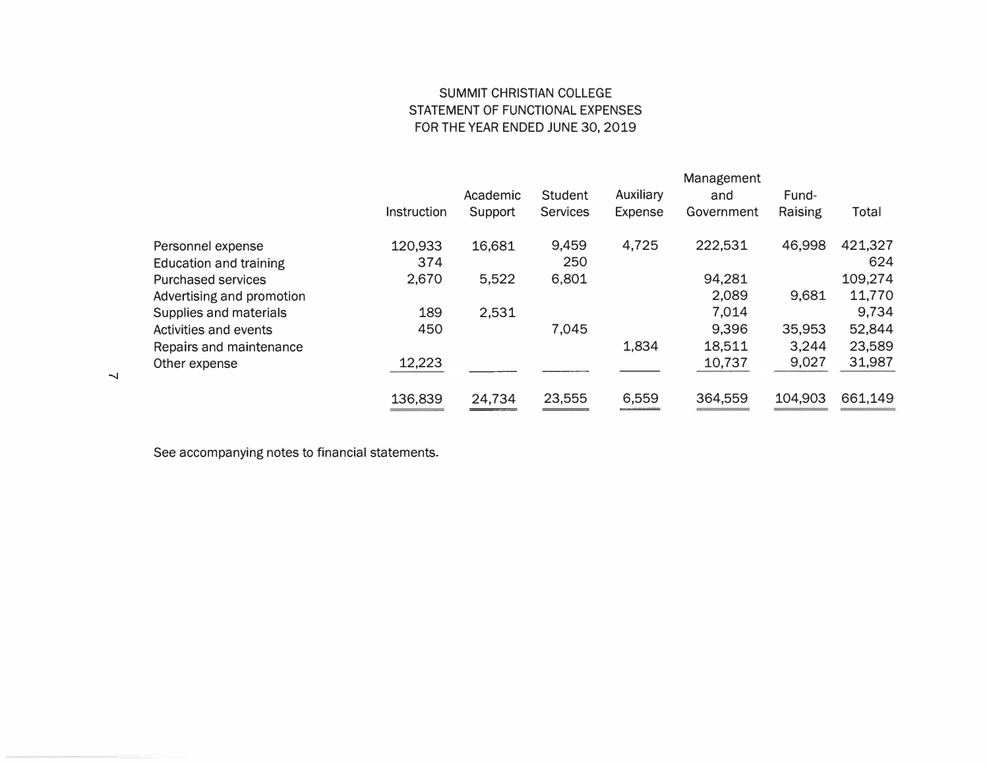# SUMMIT CHRISTIAN COLLEGE STATEMENT OF FUNCTIONAL EXPENSES FOR THE YEAR ENDED JUNE 30, 2019

|                               |                    |          |                 |                | Management |         |         |
|-------------------------------|--------------------|----------|-----------------|----------------|------------|---------|---------|
|                               |                    | Academic | <b>Student</b>  | Auxiliary      | and        | Fund-   |         |
|                               | <b>Instruction</b> | Support  | <b>Services</b> | <b>Expense</b> | Government | Raising | Total   |
| Personnel expense             | 120,933            | 16,681   | 9,459           | 4,725          | 222,531    | 46,998  | 421,327 |
| <b>Education and training</b> | 374                |          | 250             |                |            |         | 624     |
| <b>Purchased services</b>     | 2,670              | 5,522    | 6,801           |                | 94,281     |         | 109,274 |
| Advertising and promotion     |                    |          |                 |                | 2,089      | 9,681   | 11,770  |
| Supplies and materials        | 189                | 2,531    |                 |                | 7,014      |         | 9,734   |
| Activities and events         | 450                |          | 7,045           |                | 9,396      | 35,953  | 52,844  |
| Repairs and maintenance       |                    |          |                 | 1,834          | 18,511     | 3,244   | 23,589  |
| Other expense                 | 12,223             |          |                 |                | 10,737     | 9,027   | 31,987  |
|                               | 136,839            | 24,734   | 23,555          | 6,559          | 364,559    | 104,903 | 661,149 |

See accompanying notes to financial statements.

 $\overline{\phantom{0}}$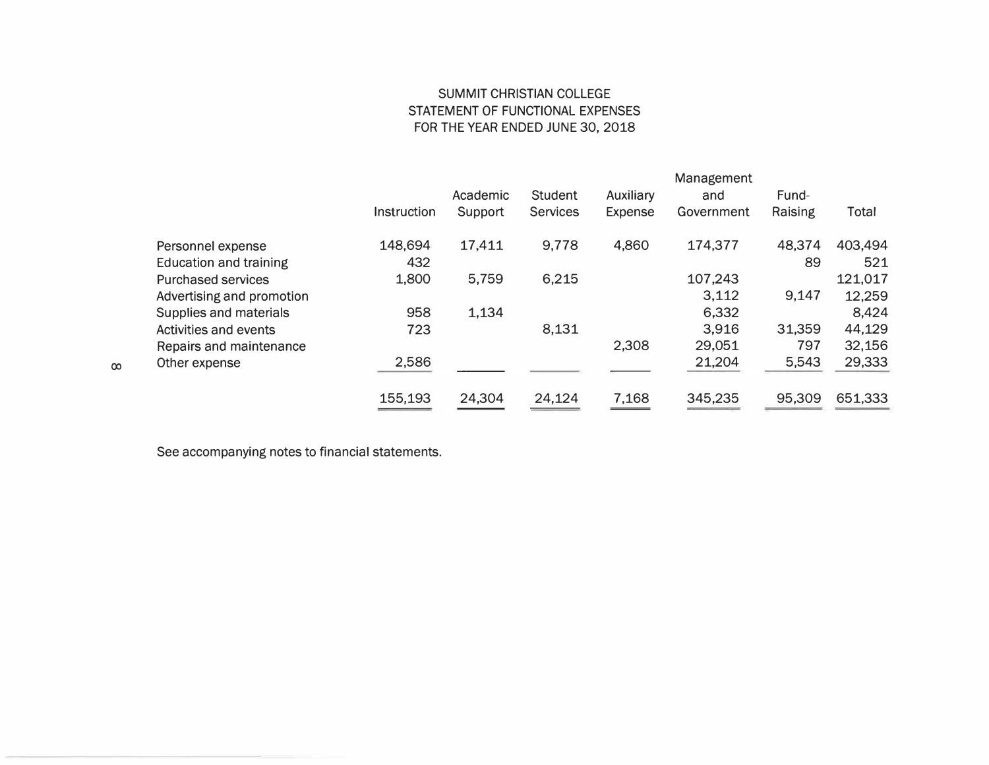# SUMMIT CHRISTIAN COLLEGE STATEMENT OF FUNCTIONAL EXPENSES FOR THE YEAR ENDED JUNE 30, 2018

|                               |             |          |                 |                  | Management |         |              |
|-------------------------------|-------------|----------|-----------------|------------------|------------|---------|--------------|
|                               |             | Academic | Student         | <b>Auxiliary</b> | and        | Fund-   |              |
|                               | Instruction | Support  | <b>Services</b> | <b>Expense</b>   | Government | Raising | <b>Total</b> |
| Personnel expense             | 148,694     | 17,411   | 9,778           | 4,860            | 174,377    | 48,374  | 403,494      |
| <b>Education and training</b> | 432         |          |                 |                  |            | 89      | 521          |
| <b>Purchased services</b>     | 1,800       | 5,759    | 6,215           |                  | 107,243    |         | 121,017      |
| Advertising and promotion     |             |          |                 |                  | 3,112      | 9,147   | 12,259       |
| Supplies and materials        | 958         | 1,134    |                 |                  | 6,332      |         | 8,424        |
| Activities and events         | 723         |          | 8,131           |                  | 3,916      | 31,359  | 44,129       |
| Repairs and maintenance       |             |          |                 | 2,308            | 29,051     | 797     | 32,156       |
| Other expense                 | 2,586       |          |                 |                  | 21,204     | 5,543   | 29,333       |
|                               | 155,193     | 24,304   | 24,124          | 7,168            | 345,235    | 95,309  | 651,333      |

See accompanying notes to financial statements.

00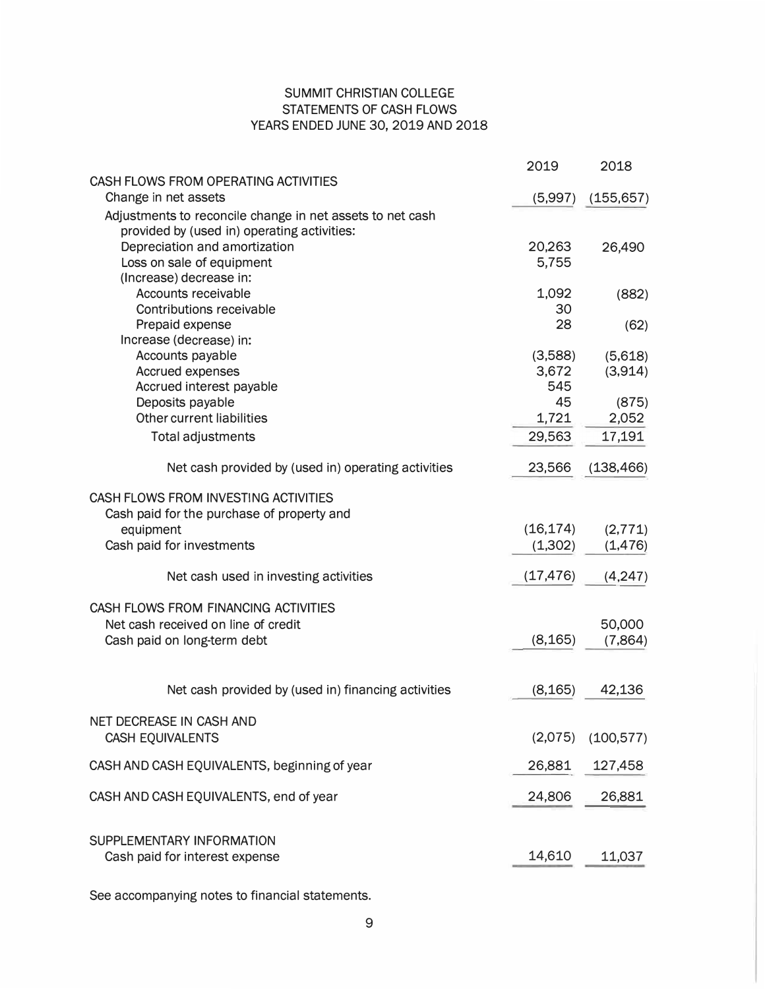# SUMMIT CHRISTIAN COLLEGE STATEMENTS OF CASH FLOWS YEARS ENDED JUNE 30, 2019 AND 2018

|                                                                                                          | 2019      | 2018       |
|----------------------------------------------------------------------------------------------------------|-----------|------------|
| CASH FLOWS FROM OPERATING ACTIVITIES                                                                     |           |            |
| Change in net assets                                                                                     | (5,997)   | (155, 657) |
| Adjustments to reconcile change in net assets to net cash<br>provided by (used in) operating activities: |           |            |
| Depreciation and amortization                                                                            | 20,263    | 26,490     |
| Loss on sale of equipment                                                                                | 5,755     |            |
| (Increase) decrease in:                                                                                  |           |            |
| Accounts receivable                                                                                      | 1,092     | (882)      |
| Contributions receivable                                                                                 | 30        |            |
| Prepaid expense                                                                                          | 28        | (62)       |
| Increase (decrease) in:                                                                                  |           |            |
| Accounts payable                                                                                         | (3,588)   | (5,618)    |
| Accrued expenses                                                                                         | 3,672     | (3,914)    |
| Accrued interest payable                                                                                 | 545       |            |
| Deposits payable                                                                                         | 45        | (875)      |
| Other current liabilities                                                                                | 1,721     | 2,052      |
| <b>Total adjustments</b>                                                                                 | 29,563    | 17,191     |
| Net cash provided by (used in) operating activities                                                      | 23,566    | (138, 466) |
| CASH FLOWS FROM INVESTING ACTIVITIES                                                                     |           |            |
| Cash paid for the purchase of property and                                                               |           |            |
| equipment                                                                                                | (16, 174) | (2, 771)   |
| Cash paid for investments                                                                                | (1,302)   | (1, 476)   |
| Net cash used in investing activities                                                                    | (17, 476) | (4,247)    |
| CASH FLOWS FROM FINANCING ACTIVITIES                                                                     |           |            |
| Net cash received on line of credit                                                                      |           | 50,000     |
| Cash paid on long-term debt                                                                              | (8, 165)  | (7,864)    |
| Net cash provided by (used in) financing activities                                                      | (8, 165)  | 42,136     |
| NET DECREASE IN CASH AND                                                                                 |           |            |
| <b>CASH EQUIVALENTS</b>                                                                                  | (2,075)   | (100, 577) |
| CASH AND CASH EQUIVALENTS, beginning of year                                                             | 26,881    | 127,458    |
|                                                                                                          |           |            |
| CASH AND CASH EQUIVALENTS, end of year                                                                   | 24,806    | 26,881     |
| SUPPLEMENTARY INFORMATION                                                                                |           |            |
| Cash paid for interest expense                                                                           | 14,610    | 11,037     |
|                                                                                                          |           |            |

See accompanying notes to financial statements.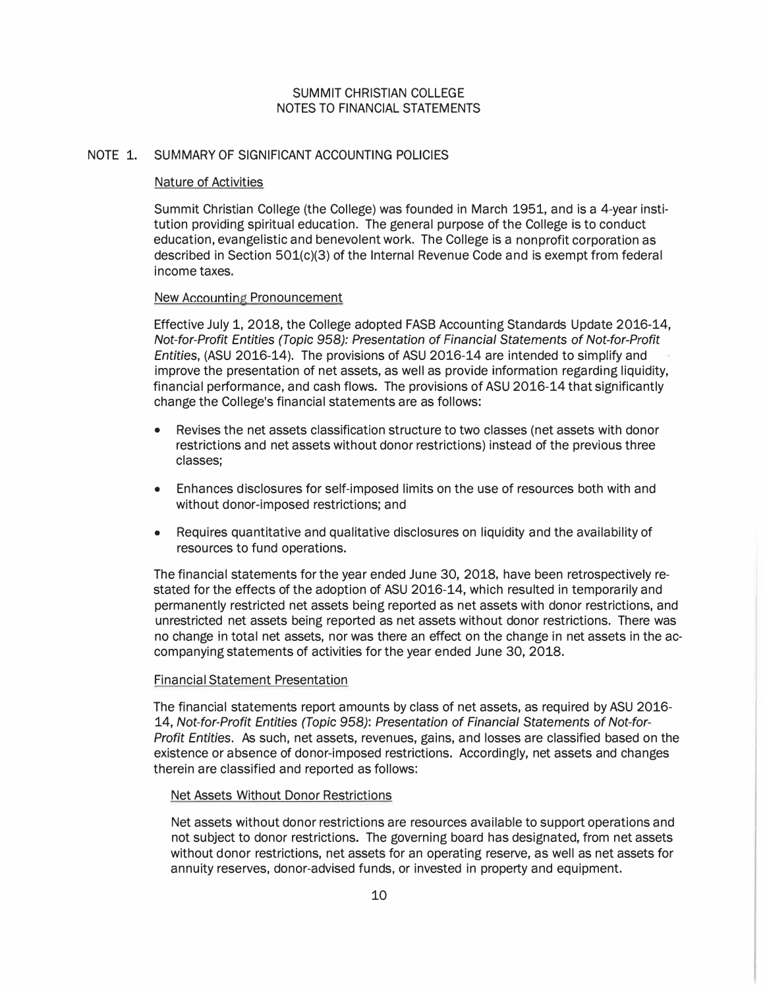## NOTE 1. SUMMARY OF SIGNIFICANT ACCOUNTING POLICIES

## Nature of Activities

Summit Christian College (the College) was founded in March 1951, and is a 4-year institution providing spiritual education. The general purpose of the College is to conduct education, evangelistic and benevolent work. The College is a nonprofit corporation as described in Section 501(c)(3) of the Internal Revenue Code and is exempt from federal income taxes.

## New Accounting Pronouncement

Effective July 1, 2018, the College adopted FASB Accounting Standards Update 2016-14, Not-for-Profit Entities (Topic 958): Presentation of Financial Statements of Not-for-Profit Entities, (ASU 2016-14). The provisions of ASU 2016-14 are intended to simplify and improve the presentation of net assets, as well as provide information regarding liquidity, financial performance, and cash flows. The provisions of ASU 2016-14 that significantly change the College's financial statements are as follows:

- Revises the net assets classification structure to two classes (net assets with donor restrictions and net assets without donor restrictions) instead of the previous three classes;
- Enhances disclosures for self-imposed limits on the use of resources both with and without donor-imposed restrictions; and
- Requires quantitative and qualitative disclosures on liquidity and the availability of resources to fund operations.

The financial statements for the year ended June 30, 2018, have been retrospectively restated for the effects of the adoption of ASU 2016-14, which resulted in temporarily and permanently restricted net assets being reported as net assets with donor restrictions, and unrestricted net assets being reported as net assets without donor restrictions. There was no change in total net assets, nor was there an effect on the change in net assets in the accompanying statements of activities for the year ended June 30, 2018.

#### Financial Statement Presentation

The financial statements report amounts by class of net assets, as required by ASU 2016- 14, Not-for-Profit Entities (Topic 958): Presentation of Financial Statements of Not-for-Profit Entities. As such, net assets, revenues, gains, and losses are classified based on the existence or absence of donor-imposed restrictions. Accordingly, net assets and changes therein are classified and reported as follows:

## Net Assets Without Donor Restrictions

Net assets without donor restrictions are resources available to support operations and not subject to donor restrictions. The governing board has designated, from net assets without donor restrictions, net assets for an operating reserve, as well as net assets for annuity reserves, donor-advised funds, or invested in property and equipment.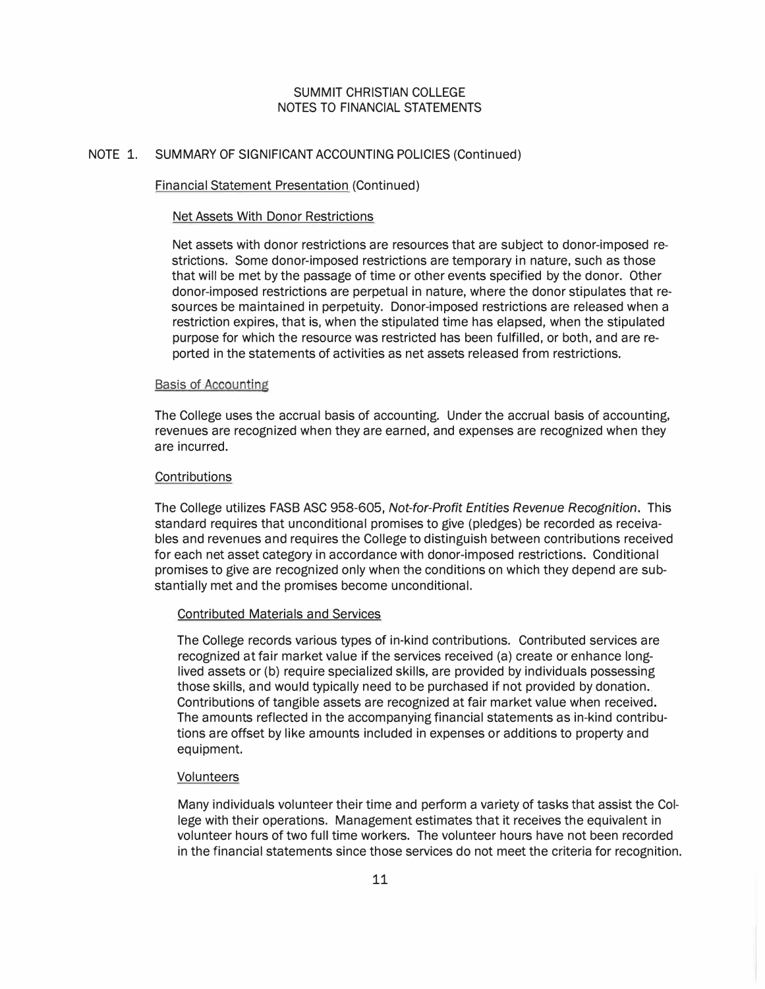#### NOTE 1. SUMMARY OF SIGNIFICANT ACCOUNTING POLICIES (Continued)

#### Financial Statement Presentation (Continued)

#### Net Assets With Donor Restrictions

Net assets with donor restrictions are resources that are subject to donor-imposed restrictions. Some donor-imposed restrictions are temporary in nature, such as those that will be met by the passage of time or other events specified by the donor. Other donor-imposed restrictions are perpetual in nature, where the donor stipulates that resources be maintained in perpetuity. Donor-imposed restrictions are released when a restriction expires, that is, when the stipulated time has elapsed, when the stipulated purpose for which the resource was restricted has been fulfilled, or both, and are reported in the statements of activities as net assets released from restrictions.

#### Basis of Accounting

The College uses the accrual basis of accounting. Under the accrual basis of accounting, revenues are recognized when they are earned, and expenses are recognized when they are incurred.

## **Contributions**

The College utilizes FASB ASC 958-605, Not-for-Profit Entities Revenue Recognition. This standard requires that unconditional promises to give (pledges) be recorded as receivables and revenues and requires the College to distinguish between contributions received for each net asset category in accordance with donor-imposed restrictions. Conditional promises to give are recognized only when the conditions on which they depend are substantially met and the promises become unconditional.

#### Contributed Materials and Services

The College records various types of in-kind contributions. Contributed services are recognized at fair market value if the services received (a) create or enhance longlived assets or (b) require specialized skills, are provided by individuals possessing those skills, and would typically need to be purchased if not provided by donation. Contributions of tangible assets are recognized at fair market value when received. The amounts reflected in the accompanying financial statements as in-kind contributions are offset by like amounts included in expenses or additions to property and equipment.

#### Volunteers

Many individuals volunteer their time and perform a variety of tasks that assist the College with their operations. Management estimates that it receives the equivalent in volunteer hours of two full time workers. The volunteer hours have not been recorded in the financial statements since those services do not meet the criteria for recognition.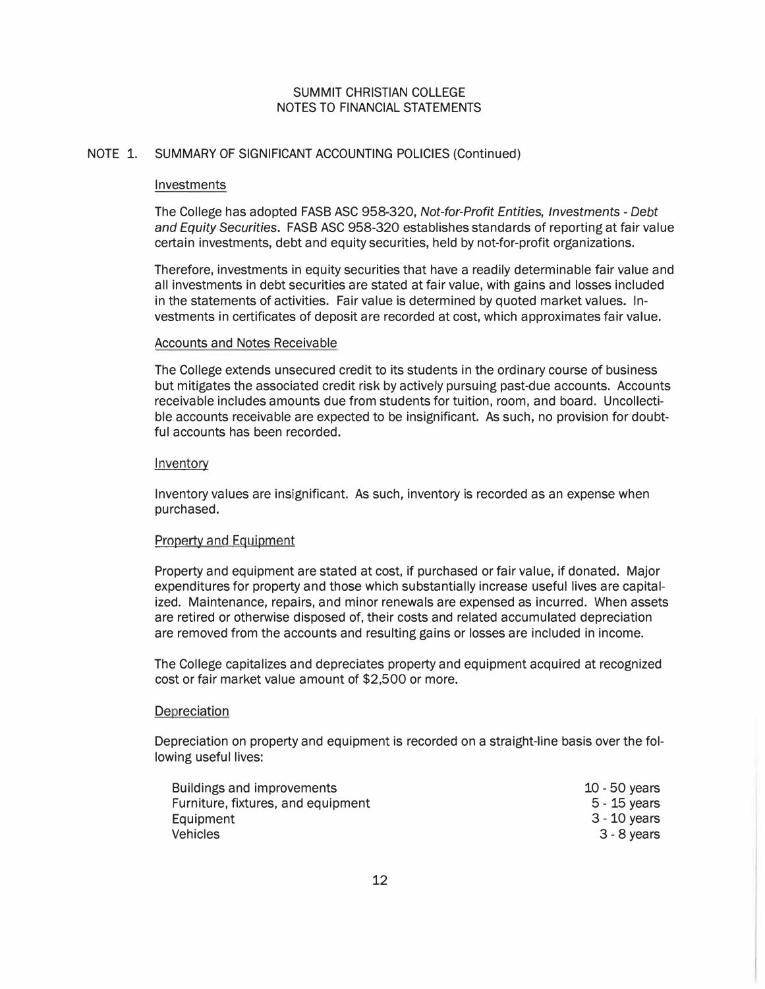## NOTE 1. SUMMARY OF SIGNIFICANT ACCOUNTING POLICIES (Continued)

#### Investments

The College has adopted FASB ASC 958-320, Not-for-Profit Entities, Investments - Debt and Equity Securities. FASB ASC 958-320 establishes standards of reporting at fair value certain investments, debt and equity securities, held by not-for-profit organizations.

Therefore, investments in equity securities that have a readily determinable fair value and all investments in debt securities are stated at fair value, with gains and losses included in the statements of activities. Fair value is determined by quoted market values. Investments in certificates of deposit are recorded at cost, which approximates fair value.

## Accounts and Notes Receivable

The College extends unsecured credit to its students in the ordinary course of business but mitigates the associated credit risk by actively pursuing past-due accounts. Accounts receivable includes amounts due from students for tuition, room, and board. Uncollectible accounts receivable are expected to be insignificant. As such, no provision for doubtful accounts has been recorded.

#### Inventory

Inventory values are insignificant. As such, inventory is recorded as an expense when purchased.

## Property and Equipment

Property and equipment are stated at cost, if purchased or fair value, if donated. Major expenditures for property and those which substantially increase useful lives are capitalized. Maintenance, repairs, and minor renewals are expensed as incurred. When assets are retired or otherwise disposed of, their costs and related accumulated depreciation are removed from the accounts and resulting gains or losses are included in income.

The College capitalizes and depreciates property and equipment acquired at recognized cost or fair market value amount of \$2,500 or more.

## **Depreciation**

Depreciation on property and equipment is recorded on a straight-line basis over the following useful lives:

| Buildings and improvements         | $10 - 50$ years |
|------------------------------------|-----------------|
| Furniture, fixtures, and equipment | $5 - 15$ years  |
| Equipment                          | 3 - 10 years    |
| <b>Vehicles</b>                    | 3 - 8 years     |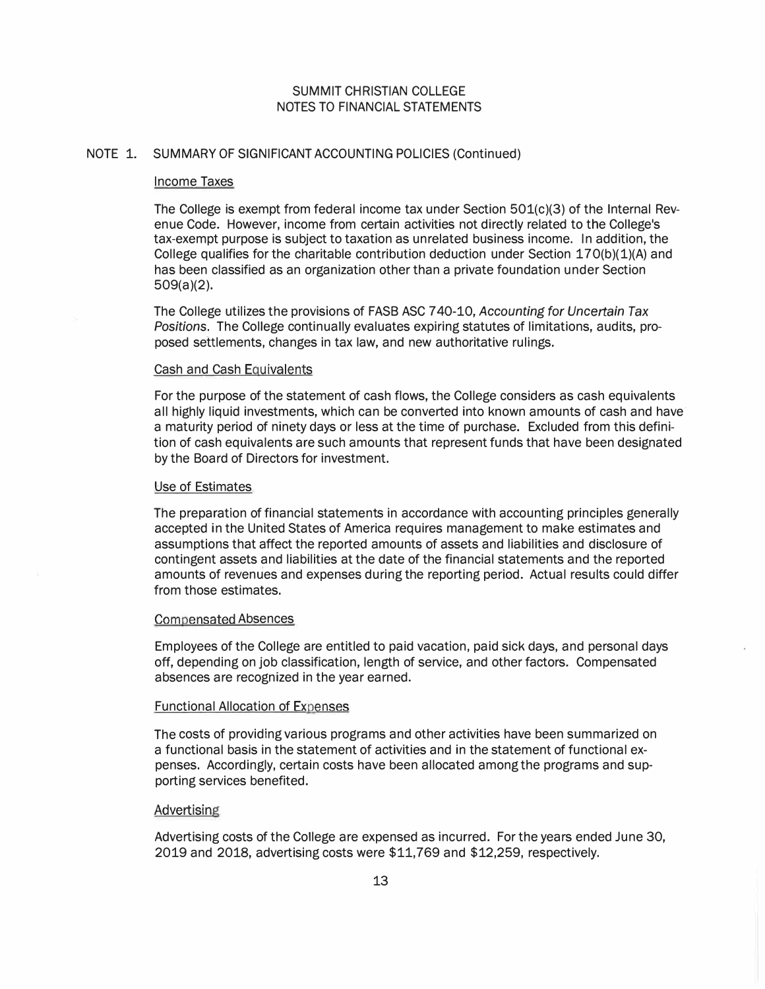#### NOTE 1. SUMMARY OF SIGNIFICANT ACCOUNTING POLICIES (Continued)

#### Income Taxes

The College is exempt from federal income tax under Section 501(c)(3) of the Internal Revenue Code. However, income from certain activities not directly related to the College's tax-exempt purpose is subject to taxation as unrelated business income. In addition, the College qualifies for the charitable contribution deduction under Section  $170(b)(1)(A)$  and has been classified as an organization other than a private foundation under Section 509(a)(2).

The College utilizes the provisions of FASB ASC 7 40-10, Accounting for Uncertain Tax Positions. The College continually evaluates expiring statutes of limitations, audits, proposed settlements, changes in tax law, and new authoritative rulings.

#### Cash and Cash Equivalents

For the purpose of the statement of cash flows, the College considers as cash equivalents all highly liquid investments, which can be converted into known amounts of cash and have a maturity period of ninety days or less at the time of purchase. Excluded from this definition of cash equivalents are such amounts that represent funds that have been designated by the Board of Directors for investment.

#### Use of Estimates

The preparation of financial statements in accordance with accounting principles generally accepted in the United States of America requires management to make estimates and assumptions that affect the reported amounts of assets and liabilities and disclosure of contingent assets and liabilities at the date of the financial statements and the reported amounts of revenues and expenses during the reporting period. Actual results could differ from those estimates.

#### Compensated Absences

Employees of the College are entitled to paid vacation, paid sick days, and personal days off, depending on job classification, length of service, and other factors. Compensated absences are recognized in the year earned.

#### Functional Allocation of Expenses

The costs of providing various programs and other activities have been summarized on a functional basis in the statement of activities and in the statement of functional expenses. Accordingly, certain costs have been allocated among the programs and supporting services benefited.

## **Advertising**

Advertising costs of the College are expensed as incurred. For the years ended June 30, 2019 and 2018, advertising costs were \$11,769 and \$12,259, respectively.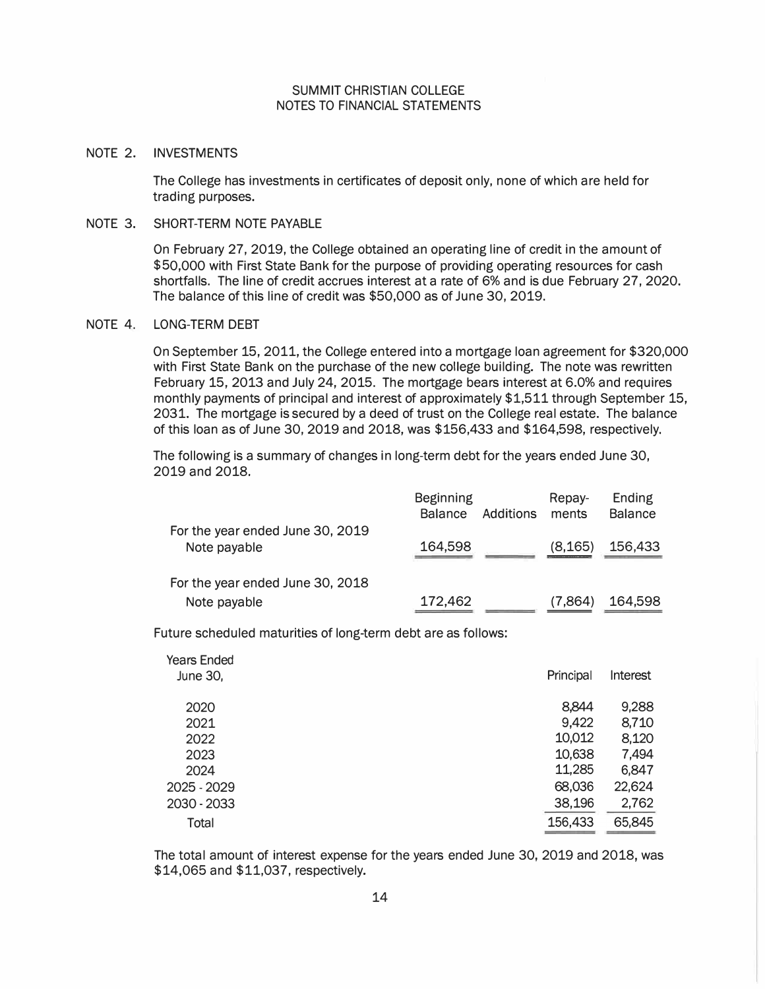### NOTE 2. INVESTMENTS

The College has investments in certificates of deposit only, none of which are held for trading purposes.

## NOTE 3. SHORT-TERM NOTE PAYABLE

On February 27, 2019, the College obtained an operating line of credit in the amount of \$50,000 with First State Bank for the purpose of providing operating resources for cash shortfalls. The line of credit accrues interest at a rate of 6% and is due February 27, 2020. The balance of this line of credit was \$50,000 as of June 30, 2019.

#### NOTE 4. LONG-TERM DEBT

On September 15, 2011, the College entered into a mortgage loan agreement for \$320,000 with First State Bank on the purchase of the new college building. The note was rewritten February 15, 2013 and July 24, 2015. The mortgage bears interest at 6.0% and requires monthly payments of principal and interest of approximately \$1,511 through September 15, 2031. The mortgage is secured by a deed of trust on the College real estate. The balance of this loan as of June 30, 2019 and 2018, was \$156,433 and \$164,598, respectively.

The following is a summary of changes in long-term debt for the years ended June 30, 2019 and 2018.

|                                                  | <b>Beginning</b><br><b>Balance</b> | Additions | Repay-<br>ments | Ending<br><b>Balance</b> |
|--------------------------------------------------|------------------------------------|-----------|-----------------|--------------------------|
| For the year ended June 30, 2019<br>Note payable | 164,598                            |           | (8, 165)        | 156,433                  |
| For the year ended June 30, 2018                 |                                    |           |                 |                          |
| Note payable                                     | 172,462                            |           | (7.864)         | 164,598                  |

Future scheduled maturities of long-term debt are as follows:

| <b>Years Ended</b><br>June 30, | Principal | Interest |
|--------------------------------|-----------|----------|
| 2020                           | 8,844     | 9,288    |
| 2021                           | 9,422     | 8,710    |
| 2022                           | 10,012    | 8,120    |
| 2023                           | 10,638    | 7,494    |
| 2024                           | 11,285    | 6,847    |
| 2025 - 2029                    | 68,036    | 22,624   |
| 2030 - 2033                    | 38,196    | 2,762    |
| Total                          | 156,433   | 65,845   |

The total amount of interest expense for the years ended June 30, 2019 and 2018, was \$14,065 and \$11,037, respectively.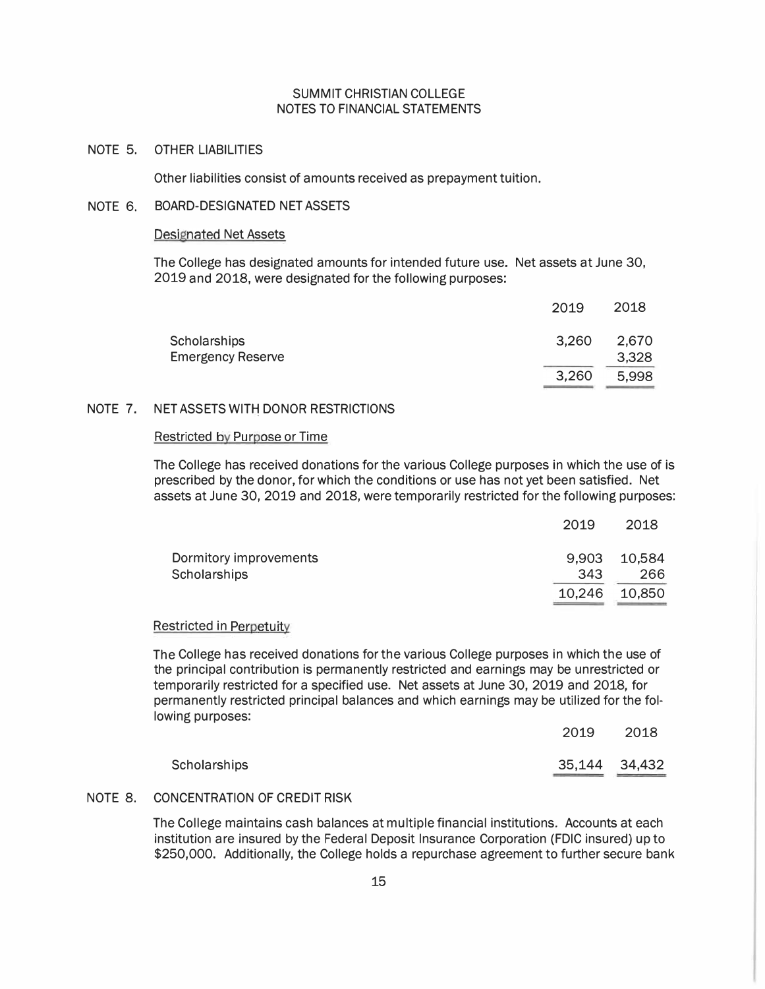# NOTE 5. OTHER LIABILITIES

Other liabilities consist of amounts received as prepayment tuition.

#### NOTE 6. BOARD-DESIGNATED NET ASSETS

#### Designated Net Assets

The College has designated amounts for intended future use. Net assets at June 30, 2019 and 2018, were designated for the following purposes:

|                          | 2019  | 2018  |
|--------------------------|-------|-------|
| Scholarships             | 3,260 | 2,670 |
| <b>Emergency Reserve</b> |       | 3,328 |
|                          | 3,260 | 5,998 |
|                          |       |       |

# NOTE 7. NET ASSETS WITH DONOR RESTRICTIONS

## Restricted by Purpose or Time

The College has received donations for the various College purposes in which the use of is prescribed by the donor, for which the conditions or use has not yet been satisfied. Net assets at June 30, 2019 and 2018, were temporarily restricted for the following purposes:

|                        | 2019   | 2018         |
|------------------------|--------|--------------|
| Dormitory improvements |        | 9,903 10,584 |
| Scholarships           | 343    | 266          |
|                        | 10,246 | 10,850       |

#### Restricted in Perpetuity

The College has received donations for the various College purposes in which the use of the principal contribution is permanently restricted and earnings may be unrestricted or temporarily restricted for a specified use. Net assets at June 30, 2019 and 2018, for permanently restricted principal balances and which earnings may be utilized for the following purposes:

|              | 2019 2018     |  |
|--------------|---------------|--|
| Scholarships | 35,144 34,432 |  |

## NOTE 8. CONCENTRATION OF CREDIT RISK

The College maintains cash balances at multiple financial institutions. Accounts at each institution are insured by the Federal Deposit Insurance Corporation (FDIC insured) up to \$250,000. Additionally, the College holds a repurchase agreement to further secure bank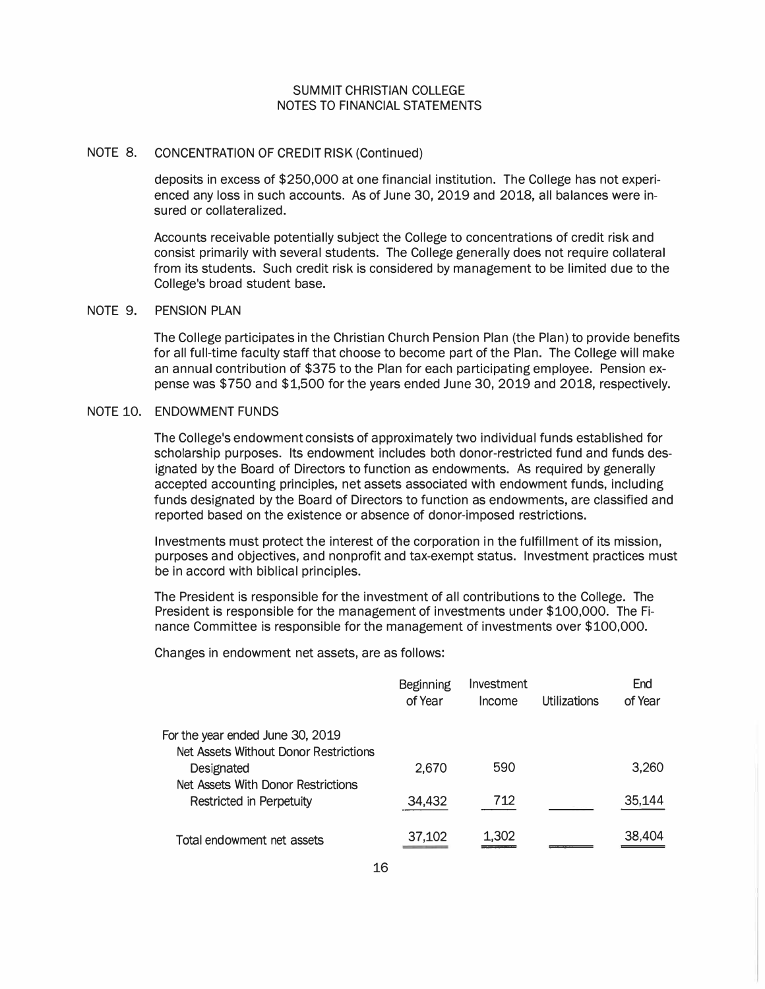### NOTE 8. CONCENTRATION OF CREDIT RISK (Continued)

deposits in excess of \$250,000 at one financial institution. The College has not experienced any loss in such accounts. As of June 30, 2019 and 2018, all balances were insured or collateralized.

Accounts receivable potentially subject the College to concentrations of credit risk and consist primarily with several students. The College generally does not require collateral from its students. Such credit risk is considered by management to be limited due to the College's broad student base.

### NOTE 9. PENSION PLAN

The College participates in the Christian Church Pension Plan (the Plan) to provide benefits for all full-time faculty staff that choose to become part of the Plan. The College will make an annual contribution of \$375 to the Plan for each participating employee. Pension expense was \$750 and \$1,500 for the years ended June 30, 2019 and 2018, respectively.

## NOTE 10. ENDOWMENT FUNDS

The College's endowment consists of approximately two individual funds established for scholarship purposes. Its endowment includes both donor-restricted fund and funds designated by the Board of Directors to function as endowments. As required by generally accepted accounting principles, net assets associated with endowment funds, including funds designated by the Board of Directors to function as endowments, are classified and reported based on the existence or absence of donor-imposed restrictions.

Investments must protect the interest of the corporation in the fulfillment of its mission, purposes and objectives, and nonprofit and tax-exempt status. Investment practices must be in accord with biblical principles.

The President is responsible for the investment of all contributions to the College. The President is responsible for the management of investments under \$100,000. The Finance Committee is responsible for the management of investments over \$100,000.

Changes in endowment net assets, are as follows:

|                                                                           | <b>Beginning</b><br>of Year | Investment<br>Income | Utilizations | End<br>of Year |
|---------------------------------------------------------------------------|-----------------------------|----------------------|--------------|----------------|
| For the year ended June 30, 2019<br>Net Assets Without Donor Restrictions |                             |                      |              |                |
| Designated                                                                | 2,670                       | 590                  |              | 3,260          |
| Net Assets With Donor Restrictions<br>Restricted in Perpetuity            | 34,432                      | 712                  |              | 35,144         |
| Total endowment net assets                                                | 37,102                      | 1,302                |              | 38,404         |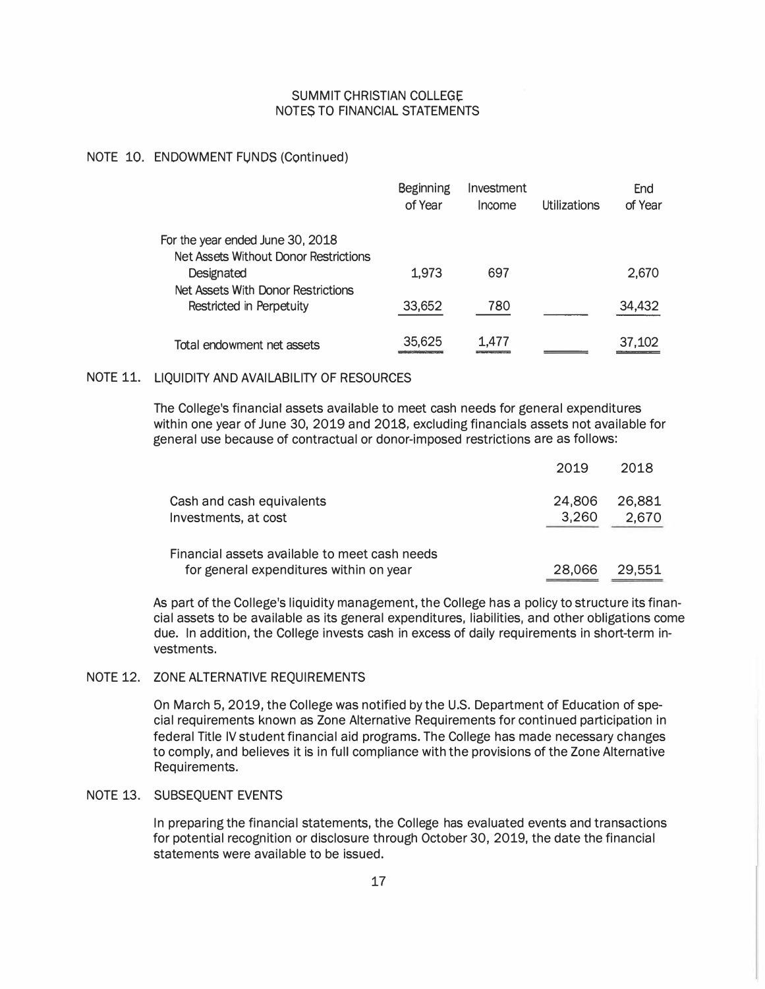### NOTE 10. ENDOWMENT FUNDS (Continued)

|                                                                           | Beginning<br>of Year | Investment<br>Income | Utilizations | End<br>of Year |
|---------------------------------------------------------------------------|----------------------|----------------------|--------------|----------------|
| For the year ended June 30, 2018<br>Net Assets Without Donor Restrictions |                      |                      |              |                |
| Designated                                                                | 1,973                | 697                  |              | 2,670          |
| Net Assets With Donor Restrictions<br>Restricted in Perpetuity            | 33,652               | 780                  |              | 34,432         |
| Total endowment net assets                                                | 35,625               | 1.477                |              | 37,102         |

## NOTE 11. LIQUIDITY AND AVAILABILITY OF RESOURCES

The College's financial assets available to meet cash needs for general expenditures within one year of June 30, 2019 and 2018, excluding financials assets not available for general use because of contractual or donor-imposed restrictions are as follows:

|                                                                                          | 2019            | 2018            |
|------------------------------------------------------------------------------------------|-----------------|-----------------|
| Cash and cash equivalents<br>Investments, at cost                                        | 24,806<br>3,260 | 26.881<br>2,670 |
| Financial assets available to meet cash needs<br>for general expenditures within on year | 28,066          | 29.551          |

As part of the College's liquidity management, the College has a policy to structure its financial assets to be available as its general expenditures, liabilities, and other obligations come due. In addition, the College invests cash in excess of daily requirements in short-term investments.

## NOTE 12. ZONE ALTERNATIVE REQUIREMENTS

On March 5, 2019, the College was notified by the U.S. Department of Education of special requirements known as Zone Alternative Requirements for continued participation in federal Title IV student financial aid programs. The College has made necessary changes to comply, and believes it is in full compliance with the provisions of the Zone Alternative Requirements.

## NOTE 13. SUBSEQUENT EVENTS

In preparing the financial statements, the College has evaluated events and transactions for potential recognition or disclosure through October 30, 2019, the date the financial statements were available to be issued.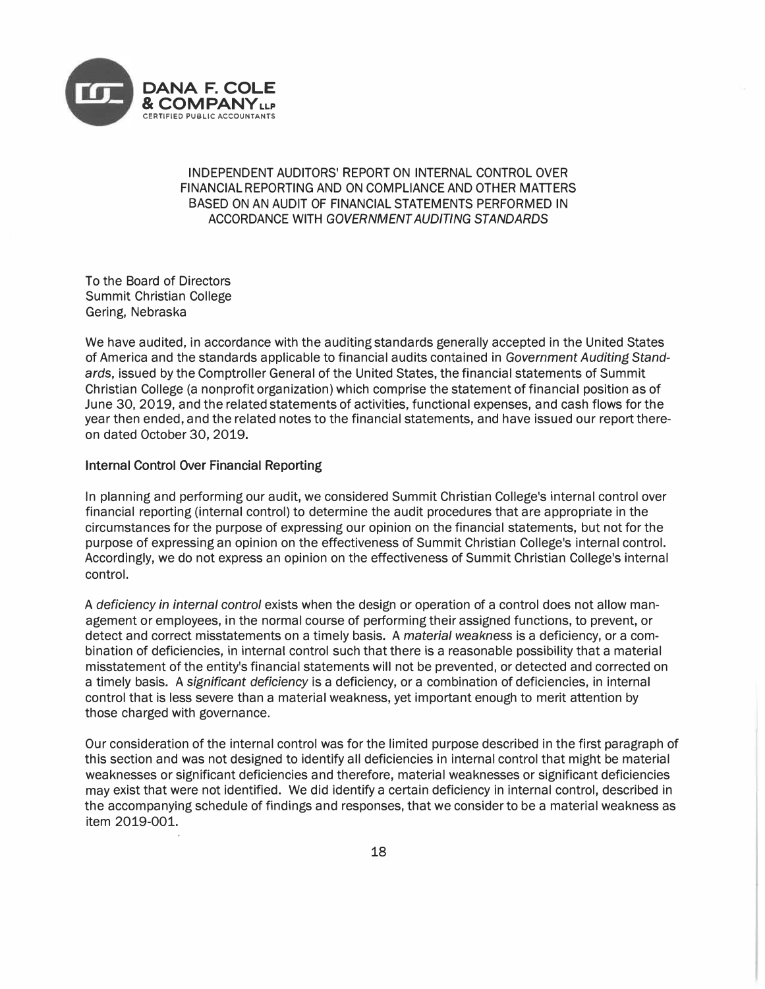

# INDEPENDENT AUDITORS' REPORT ON INTERNAL CONTROL OVER FINANCIAL REPORTING AND ON COMPLIANCE AND OTHER MATIERS BASED ON AN AUDIT OF FINANCIAL STATEMENTS PERFORMED IN ACCORDANCE WITH GOVERNMENT AUDITING STANDARDS

To the Board of Directors Summit Christian College Gering, Nebraska

We have audited, in accordance with the auditing standards generally accepted in the United States of America and the standards applicable to financial audits contained in Government Auditing Standards, issued by the Comptroller General of the United States, the financial statements of Summit Christian College (a nonprofit organization) which comprise the statement of financial position as of June 30, 2019, and the related statements of activities, functional expenses, and cash flows for the year then ended, and the related notes to the financial statements, and have issued our report thereon dated October 30, 2019.

## Internal Control Over Financial Reporting

In planning and performing our audit, we considered Summit Christian College's internal control over financial reporting (internal control) to determine the audit procedures that are appropriate in the circumstances for the purpose of expressing our opinion on the financial statements, but not for the purpose of expressing an opinion on the effectiveness of Summit Christian College's internal control. Accordingly, we do not express an opinion on the effectiveness of Summit Christian College's internal control.

A deficiency in internal control exists when the design or operation of a control does not allow management or employees, in the normal course of performing their assigned functions, to prevent, or detect and correct misstatements on a timely basis. A material weakness is a deficiency, or a combination of deficiencies, in internal control such that there is a reasonable possibility that a material misstatement of the entity's financial statements will not be prevented, or detected and corrected on a timely basis. A significant deficiency is a deficiency, or a combination of deficiencies, in internal control that is less severe than a material weakness, yet important enough to merit attention by those charged with governance.

Our consideration of the internal control was for the limited purpose described in the first paragraph of this section and was not designed to identify all deficiencies in internal control that might be material weaknesses or significant deficiencies and therefore, material weaknesses or significant deficiencies may exist that were not identified. We did identify a certain deficiency in internal control, described in the accompanying schedule of findings and responses, that we consider to be a material weakness as item 2019-001.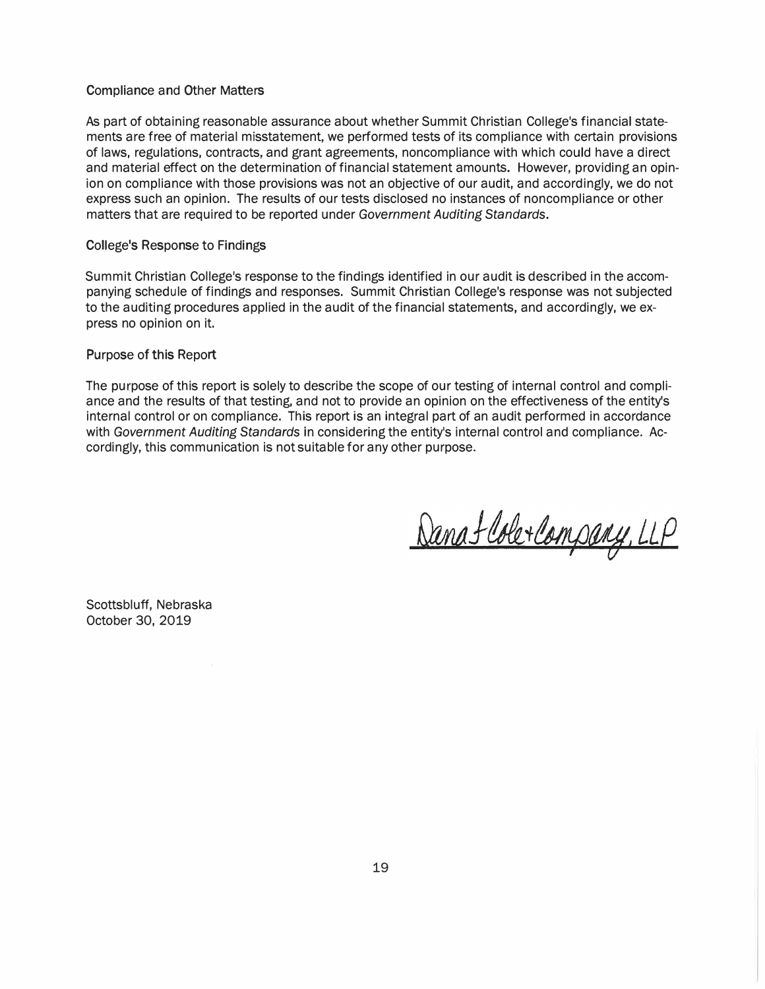#### Compliance and Other Matters

As part of obtaining reasonable assurance about whether Summit Christian College's financial statements are free of material misstatement, we performed tests of its compliance with certain provisions of laws, regulations, contracts, and grant agreements, noncompliance with which could have a direct and material effect on the determination of financial statement amounts. However, providing an opinion on compliance with those provisions was not an objective of our audit, and accordingly, we do not express such an opinion. The results of our tests disclosed no instances of noncompliance or other matters that are required to be reported under Government Auditing Standards.

## College's Response to Findings

Summit Christian College's response to the findings identified in our audit is described in the accompanying schedule of findings and responses. Summit Christian College's response was not subjected to the auditing procedures applied in the audit of the financial statements, and accordingly, we express no opinion on it.

#### Purpose of this Report

The purpose of this report is solely to describe the scope of our testing of internal control and compliance and the results of that testing, and not to provide an opinion on the effectiveness of the entity's internal control or on compliance. This report is an integral part of an audit performed in accordance with Government Auditing Standards in considering the entity's internal control and compliance. Accordingly, this communication is not suitable for any other purpose.

Danafloberlampany, LLP

Scottsbluff, Nebraska October 30, 2019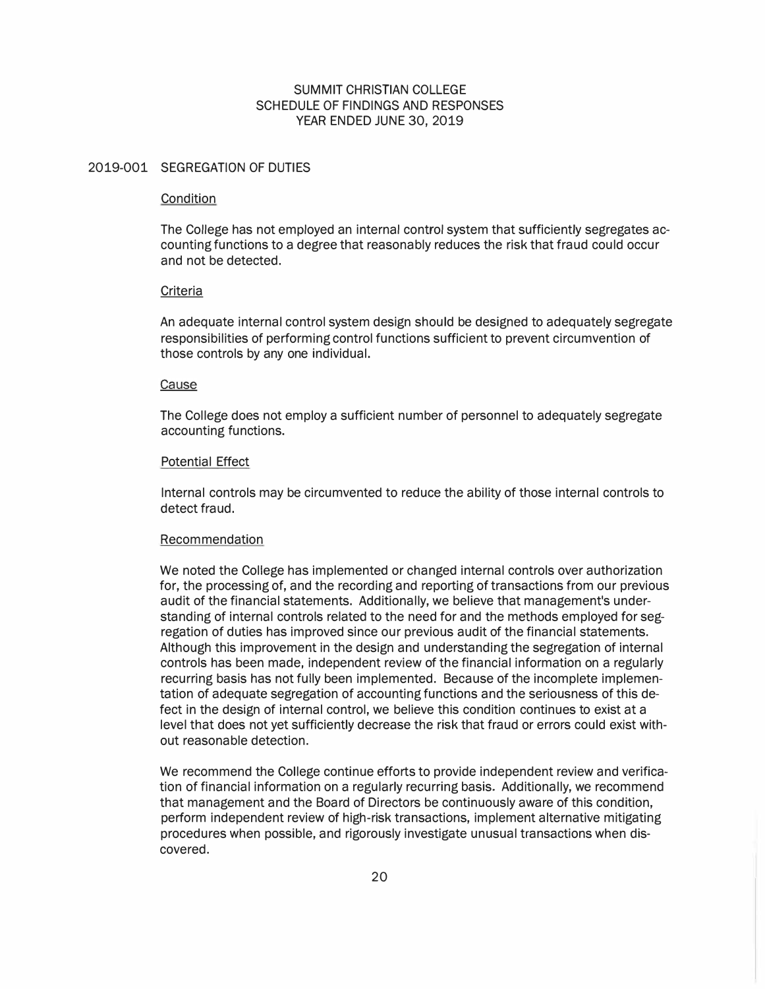# SUMMIT CHRISTIAN COLLEGE SCHEDULE OF FINDINGS AND RESPONSES YEAR ENDED JUNE 30, 2019

## 2019-001 SEGREGATION OF DUTIES

#### **Condition**

The College has not employed an internal control system that sufficiently segregates accounting functions to a degree that reasonably reduces the risk that fraud could occur and not be detected.

#### **Criteria**

An adequate internal control system design should be designed to adequately segregate responsibilities of performing control functions sufficient to prevent circumvention of those controls by any one individual.

#### Cause

The College does not employ a sufficient number of personnel to adequately segregate accounting functions.

#### Potential Effect

Internal controls may be circumvented to reduce the ability of those internal controls to detect fraud.

#### Recommendation

We noted the College has implemented or changed internal controls over authorization for, the processing of, and the recording and reporting of transactions from our previous audit of the financial statements. Additionally, we believe that management's understanding of internal controls related to the need for and the methods employed for segregation of duties has improved since our previous audit of the financial statements. Although this improvement in the design and understanding the segregation of internal controls has been made, independent review of the financial information on a regularly recurring basis has not fully been implemented. Because of the incomplete implementation of adequate segregation of accounting functions and the seriousness of this defect in the design of internal control, we believe this condition continues to exist at a level that does not yet sufficiently decrease the risk that fraud or errors could exist without reasonable detection.

We recommend the College continue efforts to provide independent review and verification of financial information on a regularly recurring basis. Additionally, we recommend that management and the Board of Directors be continuously aware of this condition, perform independent review of high-risk transactions, implement alternative mitigating procedures when possible, and rigorously investigate unusual transactions when discovered.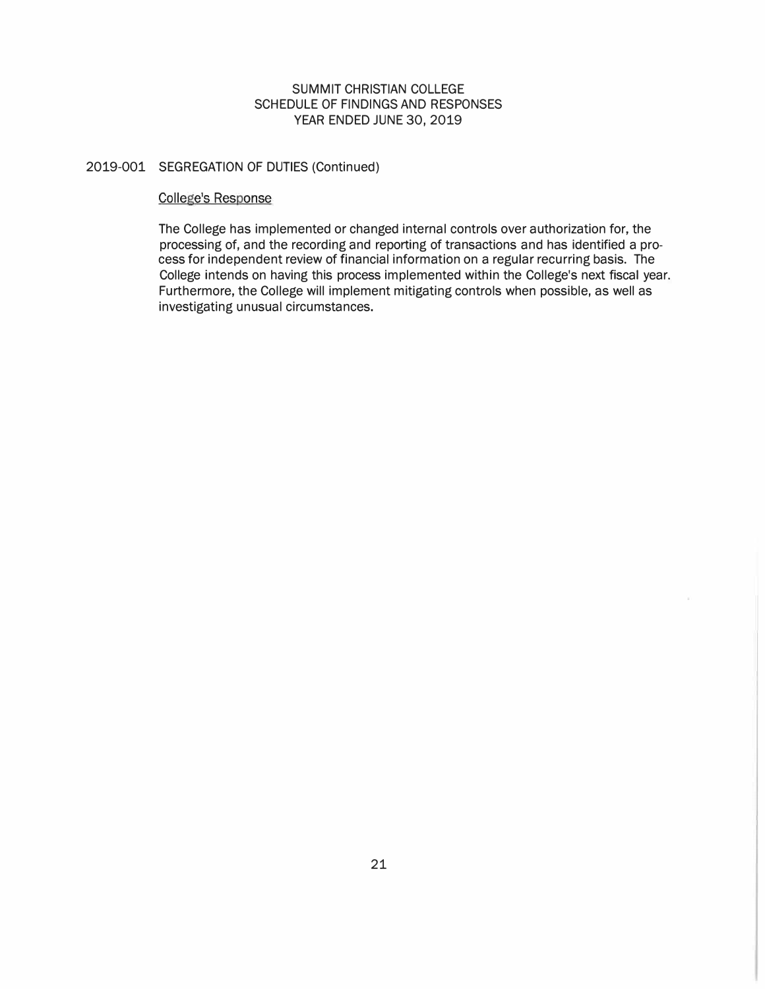# SUMMIT CHRISTIAN COLLEGE SCHEDULE OF FINDINGS AND RESPONSES YEAR ENDED JUNE 30, 2019

# 2019-001 SEGREGATION OF DUTIES (Continued)

## College's Response

The College has implemented or changed internal controls over authorization for, the processing of, and the recording and reporting of transactions and has identified a process for independent review of financial information on a regular recurring basis. The College intends on having this process implemented within the College's next fiscal year. Furthermore, the College will implement mitigating controls when possible, as well as investigating unusual circumstances.